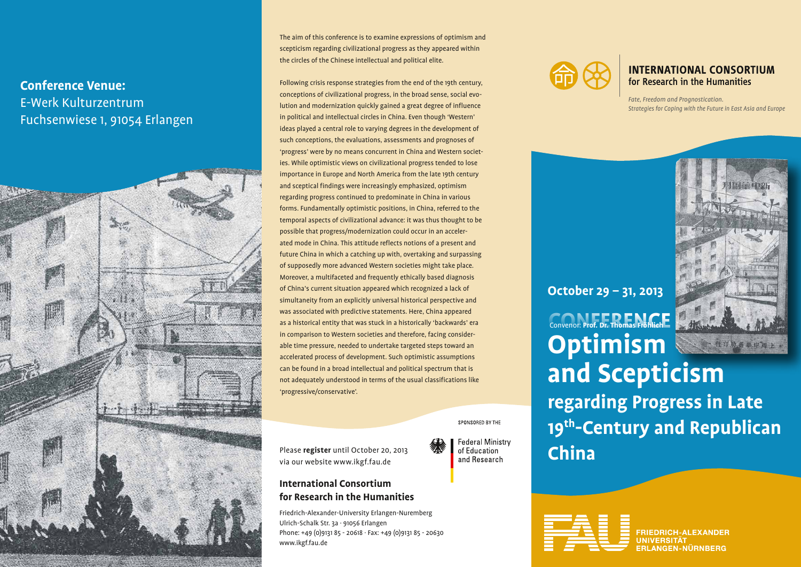### **Conference Venue:** E-Werk Kulturzentrum Fuchsenwiese 1, 91054 Erlangen



The aim of this conference is to examine expressions of optimism and scepticism regarding civilizational progress as they appeared within the circles of the Chinese intellectual and political elite.

Following crisis response strategies from the end of the 19th century, conceptions of civilizational progress, in the broad sense, social evolution and modernization quickly gained a great degree of influence in political and intellectual circles in China. Even though 'Western' ideas played a central role to varying degrees in the development of such conceptions, the evaluations, assessments and prognoses of 'progress' were by no means concurrent in China and Western societies. While optimistic views on civilizational progress tended to lose importance in Europe and North America from the late 19th century and sceptical findings were increasingly emphasized, optimism regarding progress continued to predominate in China in various forms. Fundamentally optimistic positions, in China, referred to the temporal aspects of civilizational advance: it was thus thought to be possible that progress/modernization could occur in an accelerated mode in China. This attitude reflects notions of a present and future China in which a catching up with, overtaking and surpassing of supposedly more advanced Western societies might take place. Moreover, a multifaceted and frequently ethically based diagnosis of China's current situation appeared which recognized a lack of simultaneity from an explicitly universal historical perspective and was associated with predictive statements. Here, China appeared as a historical entity that was stuck in a historically 'backwards' era in comparison to Western societies and therefore, facing considerable time pressure, needed to undertake targeted steps toward an accelerated process of development. Such optimistic assumptions can be found in a broad intellectual and political spectrum that is not adequately understood in terms of the usual classifications like 'progressive/conservative'.

SPONSORED BY THE

**Federal Ministry** of Education and Research

Please **register** until October 20, 2013 via our website www.ikgf.fau.de

#### **International Consortium for Research in the Humanities**

Friedrich-Alexander-University Erlangen-Nuremberg Ulrich-Schalk Str. 3a · 91056 Erlangen Phone: +49 (0)9131 85 - 20618 · Fax: +49 (0)9131 85 - 20630 www.ikgf.fau.de



#### **INTERNATIONAL CONSORTIUM** for Research in the Humanities

*Fate, Freedom and Prognostication. Strategies for Coping with the Future in East Asia and Europe*



**CONFERENCE** Convenor: **Prof. Dr. Thomas Fröhlich Optimism and Scepticism regarding Progress in Late 19th-Century and Republican China October 29 – 31, 2013**